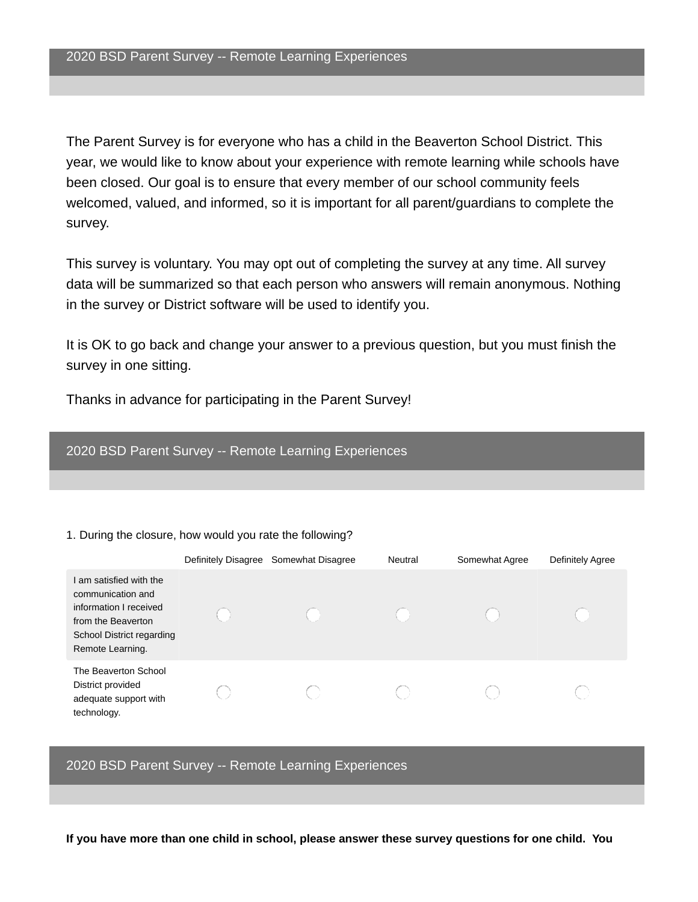The Parent Survey is for everyone who has a child in the Beaverton School District. This year, we would like to know about your experience with remote learning while schools have been closed. Our goal is to ensure that every member of our school community feels welcomed, valued, and informed, so it is important for all parent/guardians to complete the survey.

This survey is voluntary. You may opt out of completing the survey at any time. All survey data will be summarized so that each person who answers will remain anonymous. Nothing in the survey or District software will be used to identify you.

It is OK to go back and change your answer to a previous question, but you must finish the survey in one sitting.

Thanks in advance for participating in the Parent Survey!

### 2020 BSD Parent Survey -- Remote Learning Experiences

#### 1. During the closure, how would you rate the following?

|                                                                                                                                             | Definitely Disagree Somewhat Disagree | Neutral | Somewhat Agree | Definitely Agree |
|---------------------------------------------------------------------------------------------------------------------------------------------|---------------------------------------|---------|----------------|------------------|
| am satisfied with the<br>communication and<br>information I received<br>from the Beaverton<br>School District regarding<br>Remote Learning. |                                       |         |                |                  |
| The Beaverton School<br>District provided<br>adequate support with<br>technology.                                                           |                                       |         |                |                  |

2020 BSD Parent Survey -- Remote Learning Experiences

**If you have more than one child in school, please answer these survey questions for one child. You**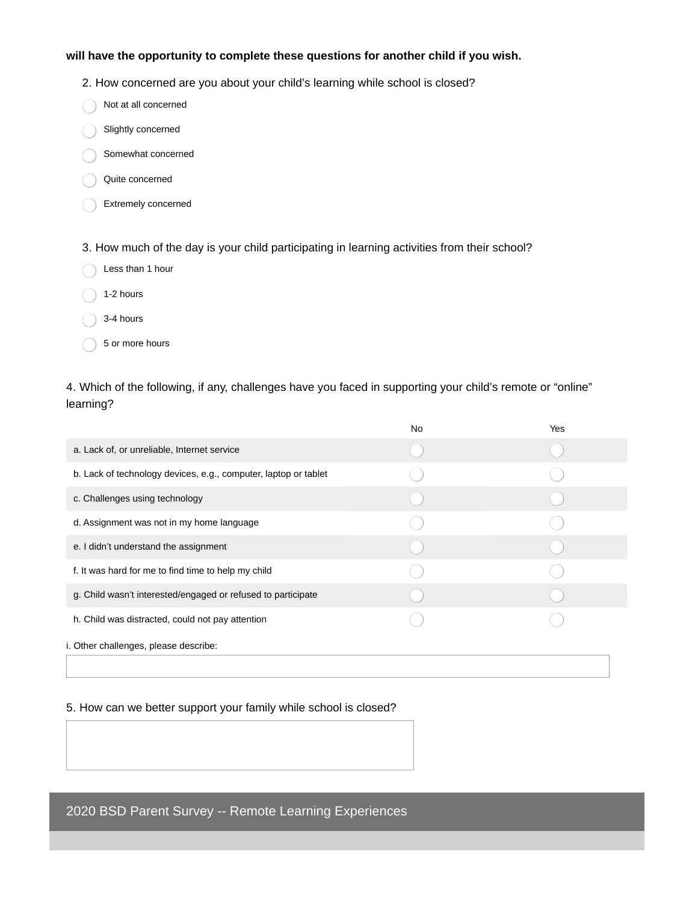### **will have the opportunity to complete these questions for another child if you wish.**

2. How concerned are you about your child's learning while school is closed?

- Slightly concerned
- Somewhat concerned
- Quite concerned
- Extremely concerned

3. How much of the day is your child participating in learning activities from their school?

- $\bigcap$  1-2 hours
- $\bigcap$  3-4 hours
	- 5 or more hours

4. Which of the following, if any, challenges have you faced in supporting your child's remote or "online" learning?

|                                                                 | <b>No</b> | Yes |  |
|-----------------------------------------------------------------|-----------|-----|--|
| a. Lack of, or unreliable, Internet service                     |           |     |  |
| b. Lack of technology devices, e.g., computer, laptop or tablet |           |     |  |
| c. Challenges using technology                                  |           |     |  |
| d. Assignment was not in my home language                       |           |     |  |
| e. I didn't understand the assignment                           |           |     |  |
| f. It was hard for me to find time to help my child             |           |     |  |
| g. Child wasn't interested/engaged or refused to participate    |           |     |  |
| h. Child was distracted, could not pay attention                |           |     |  |
| i. Other challenges, please describe:                           |           |     |  |
|                                                                 |           |     |  |

### 5. How can we better support your family while school is closed?

2020 BSD Parent Survey -- Remote Learning Experiences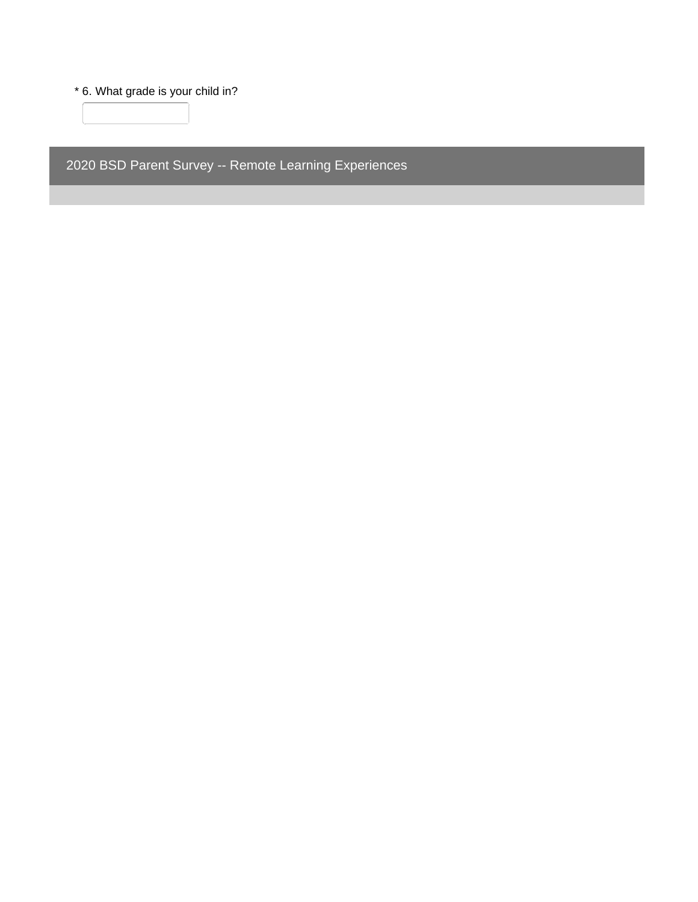\* 6. What grade is your child in?

 $\begin{picture}(20,20) \put(0,0){\dashbox{0.5}(5,0){ }} \put(15,0){\dashbox{0.5}(5,0){ }} \put(15,0){\dashbox{0.5}(5,0){ }} \put(15,0){\dashbox{0.5}(5,0){ }} \put(15,0){\dashbox{0.5}(5,0){ }} \put(15,0){\dashbox{0.5}(5,0){ }} \put(15,0){\dashbox{0.5}(5,0){ }} \put(15,0){\dashbox{0.5}(5,0){ }} \put(15,0){\dashbox{0.5}(5,0){ }} \put(15,0){\dashbox{0.5}(5,0){ }}$ 

2020 BSD Parent Survey -- Remote Learning Experiences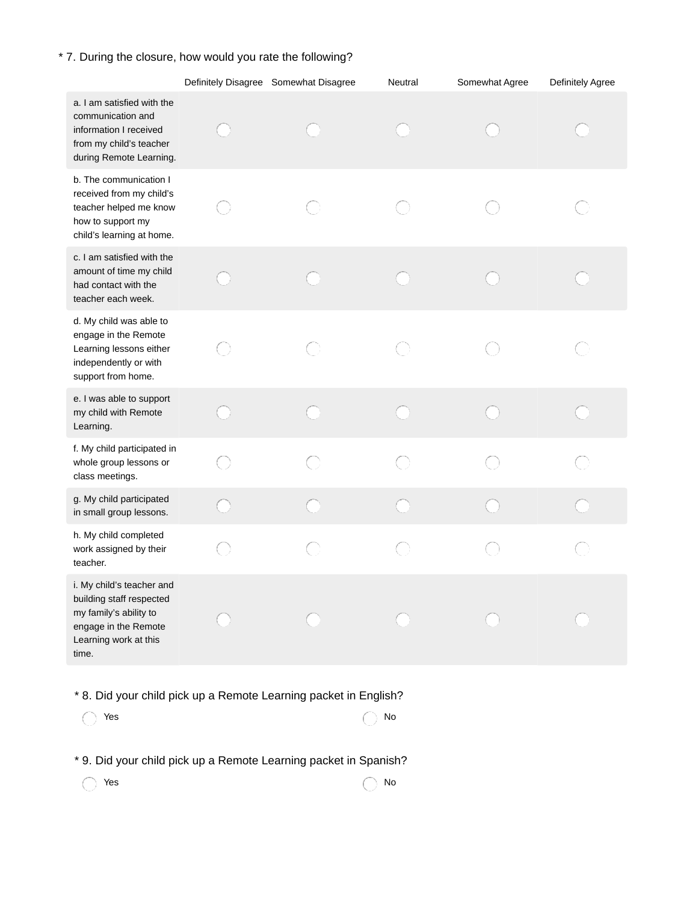# \* 7. During the closure, how would you rate the following?

|                                                                                                                                           |   | Definitely Disagree Somewhat Disagree | Neutral | Somewhat Agree | Definitely Agree |
|-------------------------------------------------------------------------------------------------------------------------------------------|---|---------------------------------------|---------|----------------|------------------|
| a. I am satisfied with the<br>communication and<br>information I received<br>from my child's teacher<br>during Remote Learning.           |   |                                       |         |                |                  |
| b. The communication I<br>received from my child's<br>teacher helped me know<br>how to support my<br>child's learning at home.            |   |                                       |         |                |                  |
| c. I am satisfied with the<br>amount of time my child<br>had contact with the<br>teacher each week.                                       |   |                                       |         |                |                  |
| d. My child was able to<br>engage in the Remote<br>Learning lessons either<br>independently or with<br>support from home.                 |   |                                       |         |                |                  |
| e. I was able to support<br>my child with Remote<br>Learning.                                                                             |   |                                       |         |                |                  |
| f. My child participated in<br>whole group lessons or<br>class meetings.                                                                  |   |                                       |         |                |                  |
| g. My child participated<br>in small group lessons.                                                                                       |   |                                       |         |                |                  |
| h. My child completed<br>work assigned by their<br>teacher.                                                                               | O |                                       |         |                |                  |
| i. My child's teacher and<br>building staff respected<br>my family's ability to<br>engage in the Remote<br>Learning work at this<br>time. |   |                                       |         |                |                  |

\* 8. Did your child pick up a Remote Learning packet in English?

| $\bigcirc$ Yes | $\bigcap$ No |
|----------------|--------------|
|----------------|--------------|

\* 9. Did your child pick up a Remote Learning packet in Spanish?

| res    | $\bigcap$ No |
|--------|--------------|
| $\sim$ |              |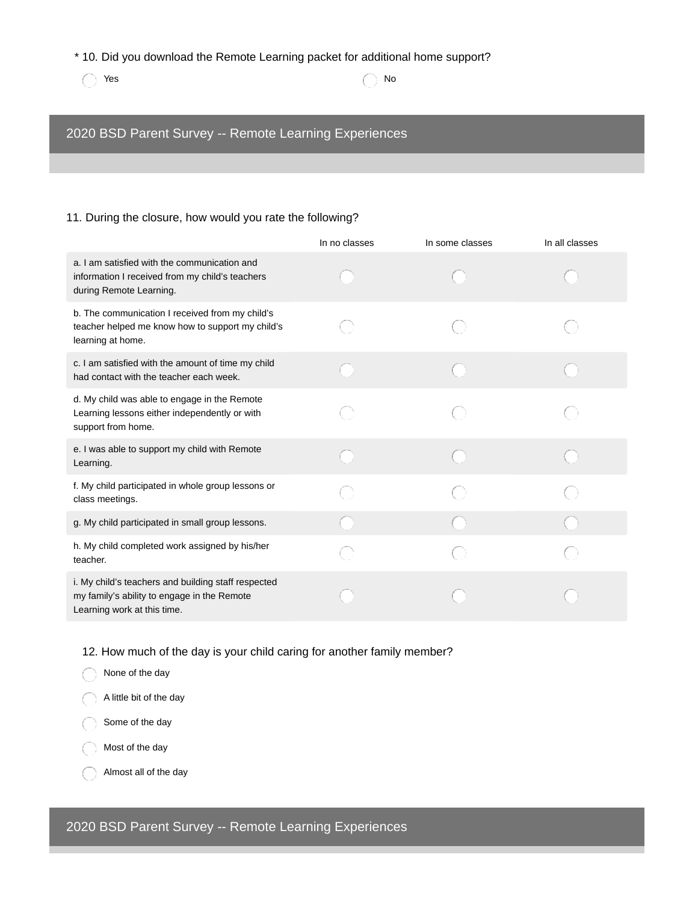### \* 10. Did you download the Remote Learning packet for additional home support?

 $Y$ es  $\bigcap$  No

# 2020 BSD Parent Survey -- Remote Learning Experiences

### 11. During the closure, how would you rate the following?

|                                                                                                                                   | In no classes | In some classes | In all classes |
|-----------------------------------------------------------------------------------------------------------------------------------|---------------|-----------------|----------------|
| a. I am satisfied with the communication and<br>information I received from my child's teachers<br>during Remote Learning.        |               |                 |                |
| b. The communication I received from my child's<br>teacher helped me know how to support my child's<br>learning at home.          |               |                 |                |
| c. I am satisfied with the amount of time my child<br>had contact with the teacher each week.                                     |               |                 |                |
| d. My child was able to engage in the Remote<br>Learning lessons either independently or with<br>support from home.               |               |                 |                |
| e. I was able to support my child with Remote<br>Learning.                                                                        |               |                 |                |
| f. My child participated in whole group lessons or<br>class meetings.                                                             |               |                 |                |
| g. My child participated in small group lessons.                                                                                  |               |                 |                |
| h. My child completed work assigned by his/her<br>teacher.                                                                        |               |                 |                |
| i. My child's teachers and building staff respected<br>my family's ability to engage in the Remote<br>Learning work at this time. |               |                 |                |

12. How much of the day is your child caring for another family member?



Almost all of the day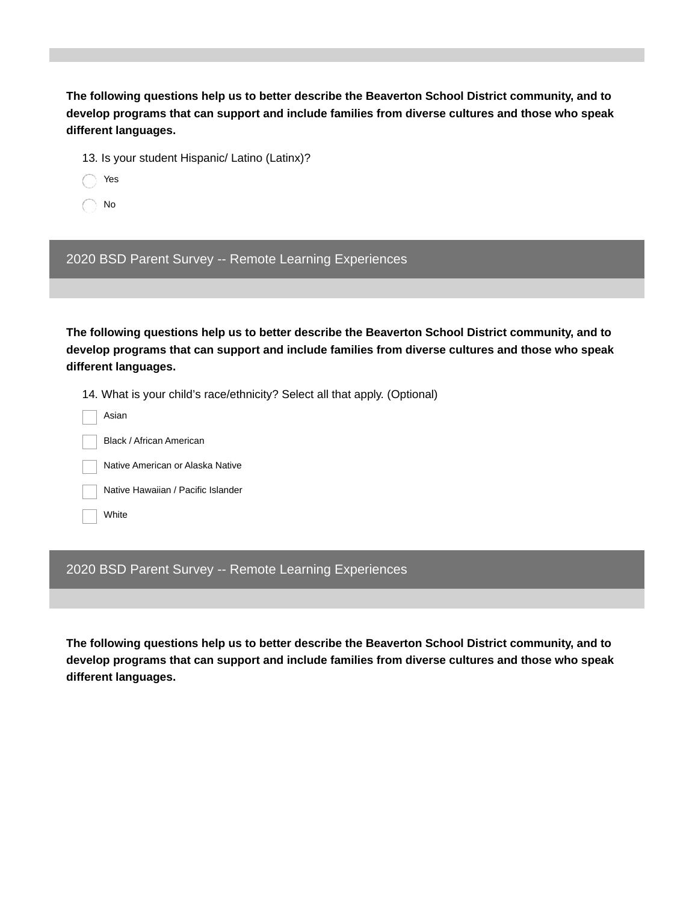**The following questions help us to better describe the Beaverton School District community, and to develop programs that can support and include families from diverse cultures and those who speak different languages.**

13. Is your student Hispanic/ Latino (Latinx)?

- Yes
- No

2020 BSD Parent Survey -- Remote Learning Experiences

**The following questions help us to better describe the Beaverton School District community, and to develop programs that can support and include families from diverse cultures and those who speak different languages.**

14. What is your child's race/ethnicity? Select all that apply. (Optional)

- Asian
	- Black / African American

Native American or Alaska Native

Native Hawaiian / Pacific Islander

White

## 2020 BSD Parent Survey -- Remote Learning Experiences

**The following questions help us to better describe the Beaverton School District community, and to develop programs that can support and include families from diverse cultures and those who speak different languages.**